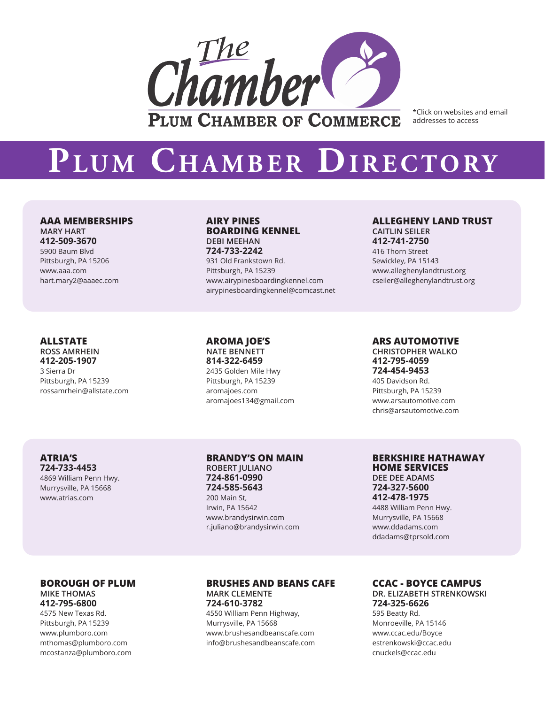

\*Click on websites and email addresses to access

# PLUM CHAMBER DIRECTORY

## **AAA MEMBERSHIPS**

**MARY HART 412-509-3670** 5900 Baum Blvd Pittsburgh, PA 15206 www.aaa.com hart.mary2@aaaec.com

# **ALLSTATE**

**ROSS AMRHEIN 412-205-1907** 3 Sierra Dr

Pittsburgh, PA 15239 rossamrhein@allstate.com

#### **AIRY PINES BOARDING KENNEL DEBI MEEHAN 724-733-2242**

931 Old Frankstown Rd. Pittsburgh, PA 15239 www.airypinesboardingkennel.com airypinesboardingkennel@comcast.net

#### **AROMA JOE'S NATE BENNETT 814-322-6459**

2435 Golden Mile Hwy Pittsburgh, PA 15239 aromajoes.com aromajoes134@gmail.com

#### **ALLEGHENY LAND TRUST CAITLIN SEILER 412-741-2750**

416 Thorn Street Sewickley, PA 15143 www.alleghenylandtrust.org cseiler@alleghenylandtrust.org

## **ARS AUTOMOTIVE**

**CHRISTOPHER WALKO 412-795-4059 724-454-9453** 405 Davidson Rd. Pittsburgh, PA 15239 www.arsautomotive.com chris@arsautomotive.com

## **ATRIA'S**

**724-733-4453** 4869 William Penn Hwy. Murrysville, PA 15668 www.atrias.com

#### **BRANDY'S ON MAIN ROBERT JULIANO 724-861-0990**

**724-585-5643** 200 Main St, Irwin, PA 15642 www.brandysirwin.com r.juliano@brandysirwin.com

# **BERKSHIRE HATHAWAY**

**HOME SERVICES DEE DEE ADAMS 724-327-5600 412-478-1975** 4488 William Penn Hwy.

Murrysville, PA 15668 www.ddadams.com ddadams@tprsold.com

## **BOROUGH OF PLUM MIKE THOMAS**

**412-795-6800** 4575 New Texas Rd. Pittsburgh, PA 15239 www.plumboro.com mthomas@plumboro.com mcostanza@plumboro.com

## **BRUSHES AND BEANS CAFE MARK CLEMENTE**

**724-610-3782** 4550 William Penn Highway, Murrysville, PA 15668 www.brushesandbeanscafe.com info@brushesandbeanscafe.com

#### **CCAC - BOYCE CAMPUS DR. ELIZABETH STRENKOWSKI**

**724-325-6626** 595 Beatty Rd. Monroeville, PA 15146

www.ccac.edu/Boyce estrenkowski@ccac.edu cnuckels@ccac.edu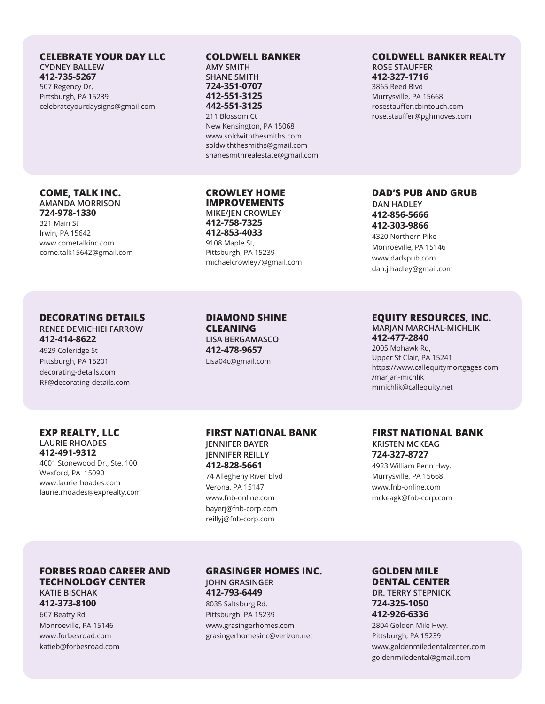#### **CELEBRATE YOUR DAY LLC CYDNEY BALLEW**

**412-735-5267** 507 Regency Dr, Pittsburgh, PA 15239 celebrateyourdaysigns@gmail.com

**COME, TALK INC. AMANDA MORRISON 724-978-1330** 321 Main St Irwin, PA 15642 www.cometalkinc.com come.talk15642@gmail.com

#### **COLDWELL BANKER**

**AMY SMITH SHANE SMITH 724-351-0707 412-551-3125 442-551-3125** 211 Blossom Ct

New Kensington, PA 15068 www.soldwiththesmiths.com soldwiththesmiths@gmail.com shanesmithrealestate@gmail.com

## **CROWLEY HOME**

**IMPROVEMENTS MIKE/JEN CROWLEY 412-758-7325 412-853-4033** 9108 Maple St, Pittsburgh, PA 15239 michaelcrowley7@gmail.com

**DIAMOND SHINE CLEANING LISA BERGAMASCO 412-478-9657** Lisa04c@gmail.com

## **412-327-1716** 3865 Reed Blvd

**ROSE STAUFFER**

Murrysville, PA 15668 rosestauffer.cbintouch.com rose.stauffer@pghmoves.com

**COLDWELL BANKER REALTY**

## **DAD'S PUB AND GRUB**

**DAN HADLEY 412-856-5666 412-303-9866** 4320 Northern Pike Monroeville, PA 15146 www.dadspub.com dan.j.hadley@gmail.com

#### **EQUITY RESOURCES, INC. MARJAN MARCHAL-MICHLIK 412-477-2840**

2005 Mohawk Rd, Upper St Clair, PA 15241 https://www.callequitymortgages.com /marjan-michlik mmichlik@callequity.net

#### **EXP REALTY, LLC LAURIE RHOADES 412-491-9312**

4001 Stonewood Dr., Ste. 100 Wexford, PA 15090 www.laurierhoades.com laurie.rhoades@exprealty.com

**DECORATING DETAILS RENEE DEMICHIEI FARROW**

**412-414-8622** 4929 Coleridge St Pittsburgh, PA 15201 decorating-details.com RF@decorating-details.com

## **FIRST NATIONAL BANK**

**JENNIFER BAYER JENNIFER REILLY 412-828-5661** 74 Allegheny River Blvd Verona, PA 15147 www.fnb-online.com bayerj@fnb-corp.com reillyj@fnb-corp.com

**FIRST NATIONAL BANK KRISTEN MCKEAG 724-327-8727**

4923 William Penn Hwy. Murrysville, PA 15668 www.fnb-online.com mckeagk@fnb-corp.com

#### **FORBES ROAD CAREER AND TECHNOLOGY CENTER KATIE BISCHAK 412-373-8100**

607 Beatty Rd Monroeville, PA 15146 www.forbesroad.com katieb@forbesroad.com

## **GRASINGER HOMES INC. JOHN GRASINGER**

**412-793-6449** 8035 Saltsburg Rd. Pittsburgh, PA 15239 www.grasingerhomes.com grasingerhomesinc@verizon.net

## **GOLDEN MILE DENTAL CENTER**

**DR. TERRY STEPNICK 724-325-1050 412-926-6336** 2804 Golden Mile Hwy.

Pittsburgh, PA 15239 www.goldenmiledentalcenter.com goldenmiledental@gmail.com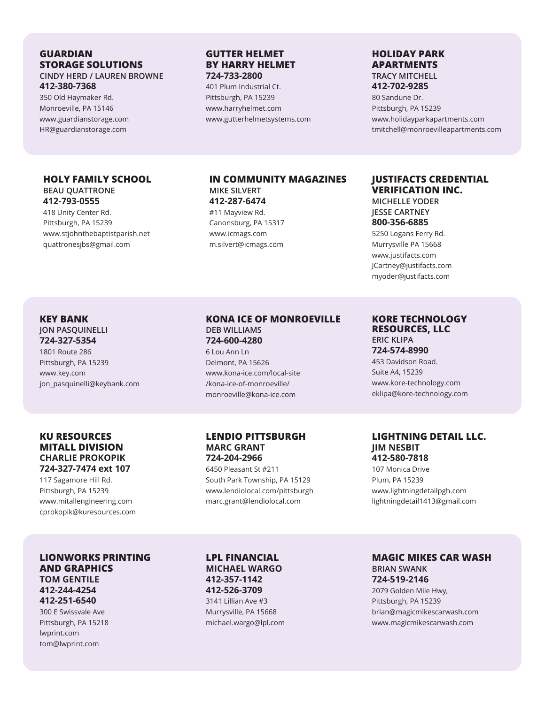## **GUARDIAN STORAGE SOLUTIONS CINDY HERD / LAUREN BROWNE**

**412-380-7368** 350 Old Haymaker Rd. Monroeville, PA 15146 www.guardianstorage.com HR@guardianstorage.com

## **GUTTER HELMET BY HARRY HELMET 724-733-2800**

401 Plum Industrial Ct. Pittsburgh, PA 15239 www.harryhelmet.com www.gutterhelmetsystems.com

#### **HOLY FAMILY SCHOOL BEAU QUATTRONE 412-793-0555**

418 Unity Center Rd. Pittsburgh, PA 15239 www.stjohnthebaptistparish.net quattronesjbs@gmail.com

## **IN COMMUNITY MAGAZINES MIKE SILVERT 412-287-6474** #11 Mayview Rd. Canonsburg, PA 15317 www.icmags.com m.silvert@icmags.com

## **HOLIDAY PARK APARTMENTS TRACY MITCHELL**

**412-702-9285** 80 Sandune Dr. Pittsburgh, PA 15239 www.holidayparkapartments.com tmitchell@monroevilleapartments.com

## **JUSTIFACTS CREDENTIAL VERIFICATION INC.**

**MICHELLE YODER JESSE CARTNEY 800-356-6885**

5250 Logans Ferry Rd. Murrysville PA 15668 www.justifacts.com JCartney@justifacts.com myoder@justifacts.com

## **KEY BANK JON PASQUINELLI**

**724-327-5354** 1801 Route 286 Pittsburgh, PA 15239 www.key.com jon\_pasquinelli@keybank.com

## **KU RESOURCES MITALL DIVISION CHARLIE PROKOPIK 724-327-7474 ext 107**

117 Sagamore Hill Rd. Pittsburgh, PA 15239 www.mitallengineering.com cprokopik@kuresources.com

#### **LIONWORKS PRINTING AND GRAPHICS TOM GENTILE 412-244-4254 412-251-6540**

300 E Swissvale Ave Pittsburgh, PA 15218 lwprint.com tom@lwprint.com

#### **KONA ICE OF MONROEVILLE DEB WILLIAMS 724-600-4280** 6 Lou Ann Ln

Delmont, PA 15626 www.kona-ice.com/local-site /kona-ice-of-monroeville/ monroeville@kona-ice.com

## **LENDIO PITTSBURGH MARC GRANT 724-204-2966**

6450 Pleasant St #211 South Park Township, PA 15129 www.lendiolocal.com/pittsburgh marc.grant@lendiolocal.com

**LPL FINANCIAL MICHAEL WARGO 412-357-1142 412-526-3709** 3141 Lillian Ave #3

Murrysville, PA 15668 michael.wargo@lpl.com **KORE TECHNOLOGY RESOURCES, LLC ERIC KLIPA**

**724-574-8990**

453 Davidson Road. Suite A4, 15239 www.kore-technology.com eklipa@kore-technology.com

### **LIGHTNING DETAIL LLC. JIM NESBIT 412-580-7818**

107 Monica Drive Plum, PA 15239 www.lightningdetailpgh.com lightningdetail1413@gmail.com

## **MAGIC MIKES CAR WASH BRIAN SWANK 724-519-2146**

2079 Golden Mile Hwy, Pittsburgh, PA 15239 brian@magicmikescarwash.com www.magicmikescarwash.com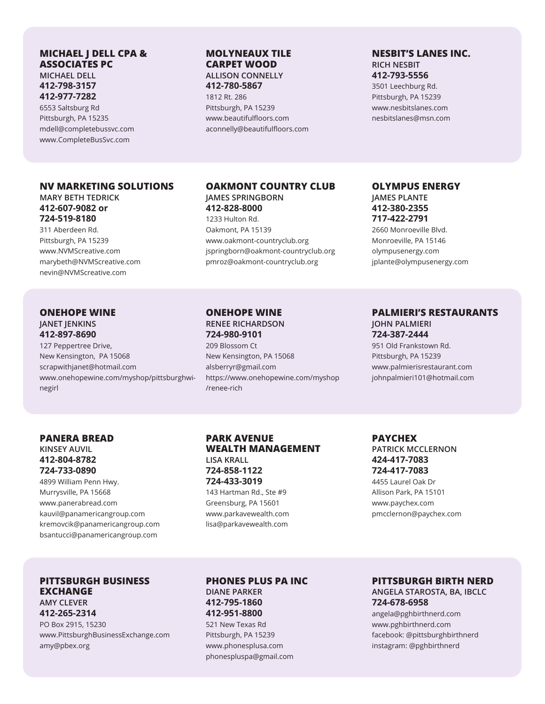#### **MICHAEL J DELL CPA & ASSOCIATES PC MICHAEL DELL 412-798-3157 412-977-7282**

6553 Saltsburg Rd Pittsburgh, PA 15235 mdell@completebussvc.com www.CompleteBusSvc.com

## **NV MARKETING SOLUTIONS**

**MARY BETH TEDRICK 412-607-9082 or 724-519-8180**

311 Aberdeen Rd. Pittsburgh, PA 15239 www.NVMScreative.com marybeth@NVMScreative.com nevin@NVMScreative.com

#### **ONEHOPE WINE JANET JENKINS 412-897-8690**

127 Peppertree Drive, New Kensington, PA 15068 scrapwithjanet@hotmail.com www.onehopewine.com/myshop/pittsburghwinegirl

## **MOLYNEAUX TILE CARPET WOOD ALLISON CONNELLY**

**412-780-5867** 1812 Rt. 286 Pittsburgh, PA 15239 www.beautifulfloors.com aconnelly@beautifulfloors.com

#### **OAKMONT COUNTRY CLUB JAMES SPRINGBORN**

**412-828-8000** 1233 Hulton Rd. Oakmont, PA 15139 www.oakmont-countryclub.org jspringborn@oakmont-countryclub.org pmroz@oakmont-countryclub.org

## **ONEHOPE WINE RENEE RICHARDSON 724-980-9101**

209 Blossom Ct New Kensington, PA 15068 alsberryr@gmail.com https://www.onehopewine.com/myshop /renee-rich

## **PANERA BREAD**

**KINSEY AUVIL 412-804-8782 724-733-0890**

4899 William Penn Hwy. Murrysville, PA 15668 www.panerabread.com kauvil@panamericangroup.com kremovcik@panamericangroup.com bsantucci@panamericangroup.com

### **PARK AVENUE WEALTH MANAGEMENT LISA KRALL**

**724-858-1122 724-433-3019** 143 Hartman Rd., Ste #9 Greensburg, PA 15601 www.parkavewealth.com

lisa@parkavewealth.com

## 3501 Leechburg Rd. Pittsburgh, PA 15239

**NESBIT'S LANES INC.**

www.nesbitslanes.com nesbitslanes@msn.com

**RICH NESBIT 412-793-5556**

## **OLYMPUS ENERGY**

**JAMES PLANTE 412-380-2355 717-422-2791**

2660 Monroeville Blvd. Monroeville, PA 15146 olympusenergy.com jplante@olympusenergy.com

## **PALMIERI'S RESTAURANTS JOHN PALMIERI 724-387-2444**

951 Old Frankstown Rd. Pittsburgh, PA 15239 www.palmierisrestaurant.com johnpalmieri101@hotmail.com

## **PAYCHEX**

**PATRICK MCCLERNON 424-417-7083 724-417-7083** 4455 Laurel Oak Dr Allison Park, PA 15101

www.paychex.com pmcclernon@paychex.com

## **PITTSBURGH BUSINESS EXCHANGE AMY CLEVER**

**412-265-2314** PO Box 2915, 15230 www.PittsburghBusinessExchange.com amy@pbex.org

#### **PHONES PLUS PA INC DIANE PARKER 412-795-1860 412-951-8800**

521 New Texas Rd Pittsburgh, PA 15239 www.phonesplusa.com phonespluspa@gmail.com

## **PITTSBURGH BIRTH NERD ANGELA STAROSTA, BA, IBCLC**

**724-678-6958**

angela@pghbirthnerd.com www.pghbirthnerd.com facebook: @pittsburghbirthnerd instagram: @pghbirthnerd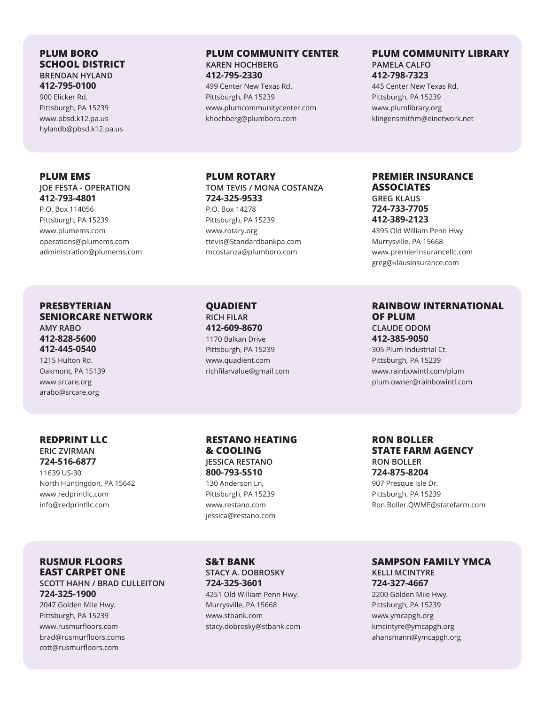#### **PLUM BORO SCHOOL DISTRICT BRENDAN HYLAND 412-795-0100**

900 Elicker Rd. Pittsburgh, PA 15239 www.pbsd.k12.pa.us hylandb@pbsd.k12.pa.us

#### **PLUM EMS JOE FESTA - OPERATION 412-793-4801**

P.O. Box 114056 Pittsburgh, PA 15239 www.plumems.com operations@plumems.com administration@plumems.com

#### **PLUM COMMUNITY CENTER KAREN HOCHBERG 412-795-2330**

499 Center New Texas Rd. Pittsburgh, PA 15239 www.plumcommunitycenter.com khochberg@plumboro.com

## **PLUM ROTARY**

**TOM TEVIS / MONA COSTANZA 724-325-9533** P.O. Box 14278 Pittsburgh, PA 15239

www.rotary.org ttevis@Standardbankpa.com mcostanza@plumboro.com

## **PRESBYTERIAN SENIORCARE NETWORK AMY RABO 412-828-5600**

**412-445-0540** 1215 Hulton Rd. Oakmont, PA 15139 www.srcare.org arabo@srcare.org

## **QUADIENT RICH FILAR 412-609-8670** 1170 Balkan Drive Pittsburgh, PA 15239

www.quadient.com richfilarvalue@gmail.com

## **REDPRINT LLC**

**ERIC ZVIRMAN 724-516-6877** 11639 US-30 North Huntingdon, PA 15642 www.redprintllc.com info@redprintllc.com

#### **RESTANO HEATING & COOLING JESSICA RESTANO**

**800-793-5510** 130 Anderson Ln, Pittsburgh, PA 15239 www.restano.com jessica@restano.com

#### **PLUM COMMUNITY LIBRARY PAMELA CALFO 412-798-7323**

445 Center New Texas Rd. Pittsburgh, PA 15239 www.plumlibrary.org klingensmithm@einetwork.net

#### **PREMIER INSURANCE ASSOCIATES GREG KLAUS**

**724-733-7705 412-389-2123**

4395 Old William Penn Hwy. Murrysville, PA 15668 www.premierinsurancellc.com greg@klausinsurance.com

#### **RAINBOW INTERNATIONAL OF PLUM CLAUDE ODOM**

**412-385-9050**

305 Plum Industrial Ct. Pittsburgh, PA 15239 www.rainbowintl.com/plum plum.owner@rainbowintl.com

#### **RON BOLLER STATE FARM AGENCY RON BOLLER**

**724-875-8204** 907 Presque Isle Dr. Pittsburgh, PA 15239 Ron.Boller.QWME@statefarm.com

#### **RUSMUR FLOORS EAST CARPET ONE SCOTT HAHN / BRAD CULLEITON 724-325-1900**

2047 Golden Mile Hwy. Pittsburgh, PA 15239 www.rusmurfloors.com brad@rusmurfloors.coms cott@rusmurfloors.com

**S&T BANK STACY A. DOBROSKY 724-325-3601**  4251 Old William Penn Hwy. Murrysville, PA 15668 www.stbank.com

stacy.dobrosky@stbank.com

**SAMPSON FAMILY YMCA KELLI MCINTYRE 724-327-4667**

2200 Golden Mile Hwy. Pittsburgh, PA 15239 www.ymcapgh.org kmcintyre@ymcapgh.org ahansmann@ymcapgh.org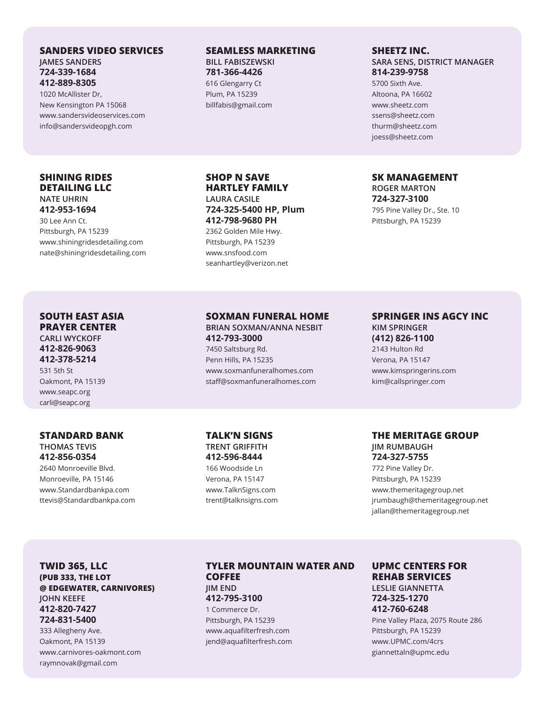## **SANDERS VIDEO SERVICES**

**JAMES SANDERS 724-339-1684 412-889-8305** 

**SHINING RIDES DETAILING LLC NATE UHRIN 412-953-1694** 30 Lee Ann Ct. Pittsburgh, PA 15239

1020 McAllister Dr, New Kensington PA 15068 www.sandersvideoservices.com info@sandersvideopgh.com

#### **SEAMLESS MARKETING BILL FABISZEWSKI**

**781-366-4426**

616 Glengarry Ct Plum, PA 15239 billfabis@gmail.com

#### **SHOP N SAVE HARTLEY FAMILY LAURA CASILE 724-325-5400 HP, Plum 412-798-9680 PH**

2362 Golden Mile Hwy. Pittsburgh, PA 15239 www.snsfood.com seanhartley@verizon.net

## **SOUTH EAST ASIA PRAYER CENTER**

www.shiningridesdetailing.com nate@shiningridesdetailing.com

**CARLI WYCKOFF 412-826-9063 412-378-5214** 531 5th St Oakmont, PA 15139 www.seapc.org carli@seapc.org

#### **STANDARD BANK THOMAS TEVIS 412-856-0354**

2640 Monroeville Blvd. Monroeville, PA 15146 www.Standardbankpa.com ttevis@Standardbankpa.com

## **SOXMAN FUNERAL HOME**

**BRIAN SOXMAN/ANNA NESBIT 412-793-3000**

7450 Saltsburg Rd. Penn Hills, PA 15235 www.soxmanfuneralhomes.com staff@soxmanfuneralhomes.com

**TALK'N SIGNS TRENT GRIFFITH**

**412-596-8444** 166 Woodside Ln Verona, PA 15147 www.TalknSigns.com trent@talknsigns.com

#### **SHEETZ INC. SARA SENS, DISTRICT MANAGER 814-239-9758**

5700 Sixth Ave. Altoona, PA 16602 www.sheetz.com ssens@sheetz.com thurm@sheetz.com joess@sheetz.com

## **SK MANAGEMENT**

**ROGER MARTON 724-327-3100** 795 Pine Valley Dr., Ste. 10 Pittsburgh, PA 15239

## **SPRINGER INS AGCY INC**

**KIM SPRINGER (412) 826-1100** 2143 Hulton Rd Verona, PA 15147 www.kimspringerins.com kim@callspringer.com

## **THE MERITAGE GROUP JIM RUMBAUGH**

**724-327-5755**

772 Pine Valley Dr. Pittsburgh, PA 15239 www.themeritagegroup.net jrumbaugh@themeritagegroup.net jallan@themeritagegroup.net

**TWID 365, LLC (PUB 333, THE LOT @ EDGEWATER, CARNIVORES) JOHN KEEFE 412-820-7427 724-831-5400**

333 Allegheny Ave. Oakmont, PA 15139 www.carnivores-oakmont.com raymnovak@gmail.com

## **TYLER MOUNTAIN WATER AND COFFEE JIM END 412-795-3100** 1 Commerce Dr.

Pittsburgh, PA 15239 www.aquafilterfresh.com jend@aquafilterfresh.com

## **UPMC CENTERS FOR REHAB SERVICES LESLIE GIANNETTA**

**724-325-1270 412-760-6248** Pine Valley Plaza, 2075 Route 286

Pittsburgh, PA 15239 www.UPMC.com/4crs giannettaln@upmc.edu